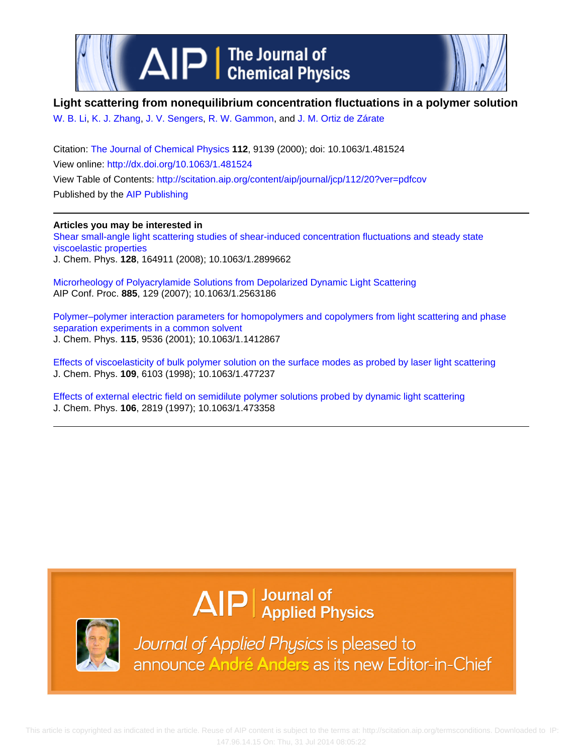

### **Light scattering from nonequilibrium concentration fluctuations in a polymer solution**

[W. B. Li](http://scitation.aip.org/search?value1=W.+B.+Li&option1=author), [K. J. Zhang,](http://scitation.aip.org/search?value1=K.+J.+Zhang&option1=author) [J. V. Sengers](http://scitation.aip.org/search?value1=J.+V.+Sengers&option1=author), [R. W. Gammon,](http://scitation.aip.org/search?value1=R.+W.+Gammon&option1=author) and [J. M. Ortiz de Zárate](http://scitation.aip.org/search?value1=J.+M.+Ortiz+de+Z�rate&option1=author)

Citation: [The Journal of Chemical Physics](http://scitation.aip.org/content/aip/journal/jcp?ver=pdfcov) **112**, 9139 (2000); doi: 10.1063/1.481524 View online: <http://dx.doi.org/10.1063/1.481524> View Table of Contents: <http://scitation.aip.org/content/aip/journal/jcp/112/20?ver=pdfcov> Published by the [AIP Publishing](http://scitation.aip.org/content/aip?ver=pdfcov)

#### **Articles you may be interested in**

[Shear small-angle light scattering studies of shear-induced concentration fluctuations and steady state](http://scitation.aip.org/content/aip/journal/jcp/128/16/10.1063/1.2899662?ver=pdfcov) [viscoelastic properties](http://scitation.aip.org/content/aip/journal/jcp/128/16/10.1063/1.2899662?ver=pdfcov) J. Chem. Phys. **128**, 164911 (2008); 10.1063/1.2899662

[Microrheology of Polyacrylamide Solutions from Depolarized Dynamic Light Scattering](http://scitation.aip.org/content/aip/proceeding/aipcp/10.1063/1.2563186?ver=pdfcov) AIP Conf. Proc. **885**, 129 (2007); 10.1063/1.2563186

[Polymer–polymer interaction parameters for homopolymers and copolymers from light scattering and phase](http://scitation.aip.org/content/aip/journal/jcp/115/20/10.1063/1.1412867?ver=pdfcov) [separation experiments in a common solvent](http://scitation.aip.org/content/aip/journal/jcp/115/20/10.1063/1.1412867?ver=pdfcov) J. Chem. Phys. **115**, 9536 (2001); 10.1063/1.1412867

[Effects of viscoelasticity of bulk polymer solution on the surface modes as probed by laser light scattering](http://scitation.aip.org/content/aip/journal/jcp/109/14/10.1063/1.477237?ver=pdfcov) J. Chem. Phys. **109**, 6103 (1998); 10.1063/1.477237

[Effects of external electric field on semidilute polymer solutions probed by dynamic light scattering](http://scitation.aip.org/content/aip/journal/jcp/106/7/10.1063/1.473358?ver=pdfcov) J. Chem. Phys. **106**, 2819 (1997); 10.1063/1.473358

# $\Delta$   $\vert P \vert$  Journal of Applied Physics



Journal of Applied Physics is pleased to announce André Anders as its new Editor-in-Chief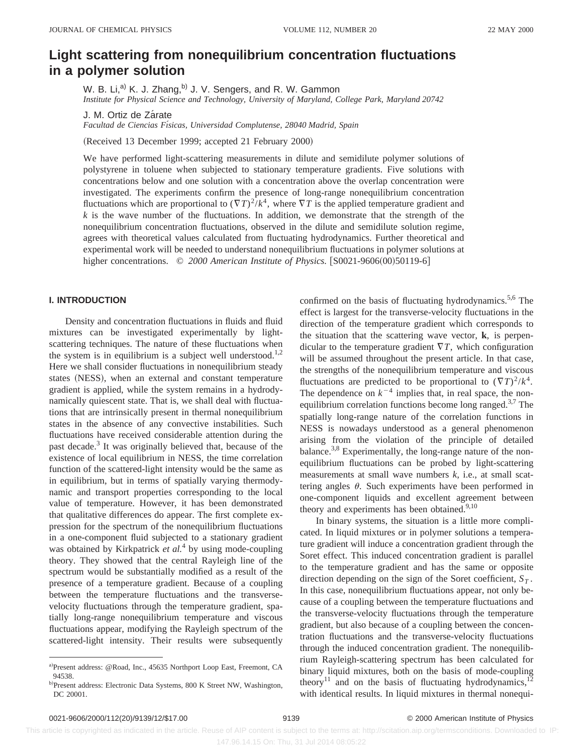## **Light scattering from nonequilibrium concentration fluctuations in a polymer solution**

W. B. Li,<sup>a)</sup> K. J. Zhang,<sup>b)</sup> J. V. Sengers, and R. W. Gammon *Institute for Physical Science and Technology, University of Maryland, College Park, Maryland 20742*

J. M. Ortiz de Zárate

*Facultad de Ciencias Fı´sicas, Universidad Complutense, 28040 Madrid, Spain*

(Received 13 December 1999; accepted 21 February 2000)

We have performed light-scattering measurements in dilute and semidilute polymer solutions of polystyrene in toluene when subjected to stationary temperature gradients. Five solutions with concentrations below and one solution with a concentration above the overlap concentration were investigated. The experiments confirm the presence of long-range nonequilibrium concentration fluctuations which are proportional to  $(\nabla T)^2/k^4$ , where  $\nabla T$  is the applied temperature gradient and  $k$  is the wave number of the fluctuations. In addition, we demonstrate that the strength of the nonequilibrium concentration fluctuations, observed in the dilute and semidilute solution regime, agrees with theoretical values calculated from fluctuating hydrodynamics. Further theoretical and experimental work will be needed to understand nonequilibrium fluctuations in polymer solutions at higher concentrations. © 2000 American Institute of Physics. [S0021-9606(00)50119-6]

#### **I. INTRODUCTION**

Density and concentration fluctuations in fluids and fluid mixtures can be investigated experimentally by lightscattering techniques. The nature of these fluctuations when the system is in equilibrium is a subject well understood.<sup>1,2</sup> Here we shall consider fluctuations in nonequilibrium steady states (NESS), when an external and constant temperature gradient is applied, while the system remains in a hydrodynamically quiescent state. That is, we shall deal with fluctuations that are intrinsically present in thermal nonequilibrium states in the absence of any convective instabilities. Such fluctuations have received considerable attention during the past decade.<sup>3</sup> It was originally believed that, because of the existence of local equilibrium in NESS, the time correlation function of the scattered-light intensity would be the same as in equilibrium, but in terms of spatially varying thermodynamic and transport properties corresponding to the local value of temperature. However, it has been demonstrated that qualitative differences do appear. The first complete expression for the spectrum of the nonequilibrium fluctuations in a one-component fluid subjected to a stationary gradient was obtained by Kirkpatrick *et al.*<sup>4</sup> by using mode-coupling theory. They showed that the central Rayleigh line of the spectrum would be substantially modified as a result of the presence of a temperature gradient. Because of a coupling between the temperature fluctuations and the transversevelocity fluctuations through the temperature gradient, spatially long-range nonequilibrium temperature and viscous fluctuations appear, modifying the Rayleigh spectrum of the scattered-light intensity. Their results were subsequently

confirmed on the basis of fluctuating hydrodynamics.<sup>5,6</sup> The effect is largest for the transverse-velocity fluctuations in the direction of the temperature gradient which corresponds to the situation that the scattering wave vector, **k**, is perpendicular to the temperature gradient  $\nabla T$ , which configuration will be assumed throughout the present article. In that case, the strengths of the nonequilibrium temperature and viscous fluctuations are predicted to be proportional to  $(\nabla T)^2/k^4$ . The dependence on  $k^{-4}$  implies that, in real space, the nonequilibrium correlation functions become long ranged.3,7 The spatially long-range nature of the correlation functions in NESS is nowadays understood as a general phenomenon arising from the violation of the principle of detailed balance.<sup>3,8</sup> Experimentally, the long-range nature of the nonequilibrium fluctuations can be probed by light-scattering measurements at small wave numbers *k*, i.e., at small scattering angles  $\theta$ . Such experiments have been performed in one-component liquids and excellent agreement between theory and experiments has been obtained. $9,10$ 

In binary systems, the situation is a little more complicated. In liquid mixtures or in polymer solutions a temperature gradient will induce a concentration gradient through the Soret effect. This induced concentration gradient is parallel to the temperature gradient and has the same or opposite direction depending on the sign of the Soret coefficient,  $S_T$ . In this case, nonequilibrium fluctuations appear, not only because of a coupling between the temperature fluctuations and the transverse-velocity fluctuations through the temperature gradient, but also because of a coupling between the concentration fluctuations and the transverse-velocity fluctuations through the induced concentration gradient. The nonequilibrium Rayleigh-scattering spectrum has been calculated for binary liquid mixtures, both on the basis of mode-coupling theory<sup>11</sup> and on the basis of fluctuating hydrodynamics,<sup>12</sup> with identical results. In liquid mixtures in thermal nonequi-

 This article is copyrighted as indicated in the article. Reuse of AIP content is subject to the terms at: http://scitation.aip.org/termsconditions. Downloaded to IP: 147.96.14.15 On: Thu, 31 Jul 2014 08:05:22

a)Present address: @Road, Inc., 45635 Northport Loop East, Freemont, CA 94538.

b)Present address: Electronic Data Systems, 800 K Street NW, Washington, DC 20001.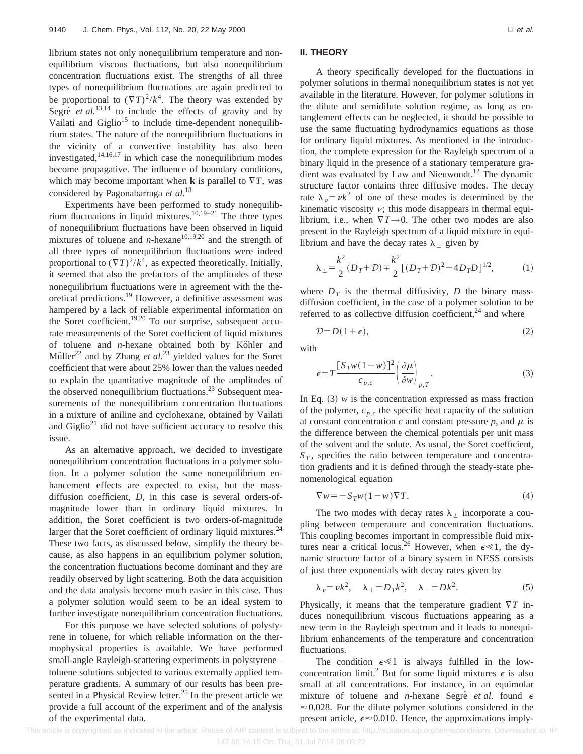librium states not only nonequilibrium temperature and nonequilibrium viscous fluctuations, but also nonequilibrium concentration fluctuations exist. The strengths of all three types of nonequilibrium fluctuations are again predicted to be proportional to  $(\nabla T)^2/k^4$ . The theory was extended by Segre $\vec{e}$  *et al.*<sup>13,14</sup> to include the effects of gravity and by Vailati and  $Giglio<sup>15</sup>$  to include time-dependent nonequilibrium states. The nature of the nonequilibrium fluctuations in the vicinity of a convective instability has also been investigated, $14,16,17$  in which case the nonequilibrium modes become propagative. The influence of boundary conditions, which may become important when **k** is parallel to  $\nabla T$ , was considered by Pagonabarraga *et al.*<sup>18</sup>

Experiments have been performed to study nonequilibrium fluctuations in liquid mixtures.<sup>10,19–21</sup> The three types of nonequilibrium fluctuations have been observed in liquid mixtures of toluene and *n*-hexane<sup>10,19,20</sup> and the strength of all three types of nonequilibrium fluctuations were indeed proportional to  $(\nabla T)^2/k^4$ , as expected theoretically. Initially, it seemed that also the prefactors of the amplitudes of these nonequilibrium fluctuations were in agreement with the theoretical predictions.19 However, a definitive assessment was hampered by a lack of reliable experimental information on the Soret coefficient.<sup>19,20</sup> To our surprise, subsequent accurate measurements of the Soret coefficient of liquid mixtures of toluene and *n*-hexane obtained both by Köhler and Müller<sup>22</sup> and by Zhang *et al.*<sup>23</sup> yielded values for the Soret coefficient that were about 25% lower than the values needed to explain the quantitative magnitude of the amplitudes of the observed nonequilibrium fluctuations.<sup>23</sup> Subsequent measurements of the nonequilibrium concentration fluctuations in a mixture of aniline and cyclohexane, obtained by Vailati and  $\text{Giglio}^{21}$  did not have sufficient accuracy to resolve this issue.

As an alternative approach, we decided to investigate nonequilibrium concentration fluctuations in a polymer solution. In a polymer solution the same nonequilibrium enhancement effects are expected to exist, but the massdiffusion coefficient, *D*, in this case is several orders-ofmagnitude lower than in ordinary liquid mixtures. In addition, the Soret coefficient is two orders-of-magnitude larger that the Soret coefficient of ordinary liquid mixtures.<sup>24</sup> These two facts, as discussed below, simplify the theory because, as also happens in an equilibrium polymer solution, the concentration fluctuations become dominant and they are readily observed by light scattering. Both the data acquisition and the data analysis become much easier in this case. Thus a polymer solution would seem to be an ideal system to further investigate nonequilibrium concentration fluctuations.

For this purpose we have selected solutions of polystyrene in toluene, for which reliable information on the thermophysical properties is available. We have performed small-angle Rayleigh-scattering experiments in polystyrene– toluene solutions subjected to various externally applied temperature gradients. A summary of our results has been presented in a Physical Review letter. $^{25}$  In the present article we provide a full account of the experiment and of the analysis of the experimental data.

#### **II. THEORY**

A theory specifically developed for the fluctuations in polymer solutions in thermal nonequilibrium states is not yet available in the literature. However, for polymer solutions in the dilute and semidilute solution regime, as long as entanglement effects can be neglected, it should be possible to use the same fluctuating hydrodynamics equations as those for ordinary liquid mixtures. As mentioned in the introduction, the complete expression for the Rayleigh spectrum of a binary liquid in the presence of a stationary temperature gradient was evaluated by Law and Nieuwoudt.<sup>12</sup> The dynamic structure factor contains three diffusive modes. The decay rate  $\lambda_{\nu} = \nu k^2$  of one of these modes is determined by the kinematic viscosity  $\nu$ ; this mode disappears in thermal equilibrium, i.e., when  $\nabla T \rightarrow 0$ . The other two modes are also present in the Rayleigh spectrum of a liquid mixture in equilibrium and have the decay rates  $\lambda_{\pm}$  given by

$$
\lambda_{\pm} = \frac{k^2}{2} (D_T + \mathcal{D}) + \frac{k^2}{2} [(D_T + \mathcal{D})^2 - 4D_T D]^{1/2},
$$
 (1)

where  $D_T$  is the thermal diffusivity,  $D$  the binary massdiffusion coefficient, in the case of a polymer solution to be referred to as collective diffusion coefficient, $24$  and where

$$
\mathcal{D} = D(1 + \epsilon),\tag{2}
$$

with

$$
\epsilon = T \frac{[S_T w (1 - w)]^2}{c_{p,c}} \left(\frac{\partial \mu}{\partial w}\right)_{p,T}.
$$
 (3)

In Eq.  $(3)$  *w* is the concentration expressed as mass fraction of the polymer,  $c_{p,c}$  the specific heat capacity of the solution at constant concentration  $c$  and constant pressure  $p$ , and  $\mu$  is the difference between the chemical potentials per unit mass of the solvent and the solute. As usual, the Soret coefficient,  $S_T$ , specifies the ratio between temperature and concentration gradients and it is defined through the steady-state phenomenological equation

$$
\nabla w = -S_T w (1 - w) \nabla T.
$$
\n(4)

The two modes with decay rates  $\lambda_{\pm}$  incorporate a coupling between temperature and concentration fluctuations. This coupling becomes important in compressible fluid mixtures near a critical locus.<sup>26</sup> However, when  $\epsilon \ll 1$ , the dynamic structure factor of a binary system in NESS consists of just three exponentials with decay rates given by

$$
\lambda_{\nu} = \nu k^2, \quad \lambda_{+} = D_T k^2, \quad \lambda_{-} = D k^2. \tag{5}
$$

Physically, it means that the temperature gradient  $\nabla T$  induces nonequilibrium viscous fluctuations appearing as a new term in the Rayleigh spectrum and it leads to nonequilibrium enhancements of the temperature and concentration fluctuations.

The condition  $\epsilon \ll 1$  is always fulfilled in the lowconcentration limit.<sup>2</sup> But for some liquid mixtures  $\epsilon$  is also small at all concentrations. For instance, in an equimolar mixture of toluene and *n*-hexane Segree *et al.* found  $\epsilon$  $\approx 0.028$ . For the dilute polymer solutions considered in the present article,  $\epsilon \approx 0.010$ . Hence, the approximations imply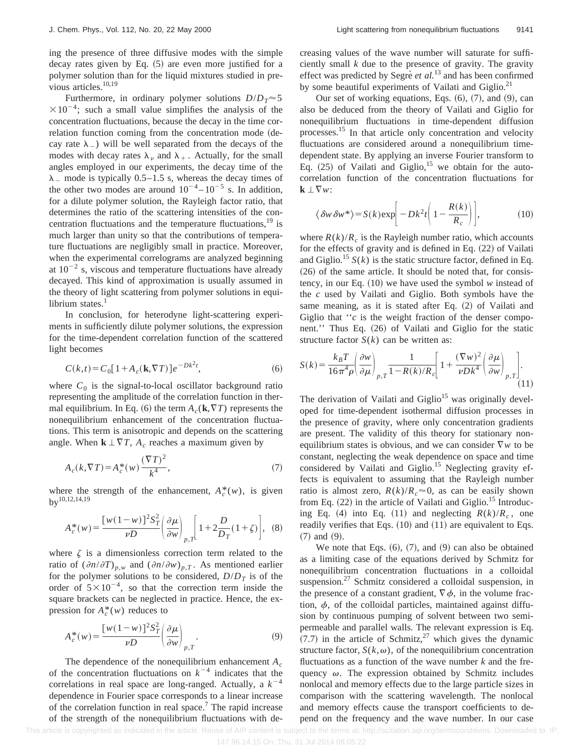ing the presence of three diffusive modes with the simple

decay rates given by Eq.  $(5)$  are even more justified for a polymer solution than for the liquid mixtures studied in previous articles.<sup>10,19</sup>

Furthermore, in ordinary polymer solutions  $D/D_T \approx 5$  $\times 10^{-4}$ ; such a small value simplifies the analysis of the concentration fluctuations, because the decay in the time correlation function coming from the concentration mode (decay rate  $\lambda$ <sub>-</sub>) will be well separated from the decays of the modes with decay rates  $\lambda_{\nu}$  and  $\lambda_{+}$ . Actually, for the small angles employed in our experiments, the decay time of the  $\lambda$  mode is typically 0.5–1.5 s, whereas the decay times of the other two modes are around  $10^{-4} - 10^{-5}$  s. In addition, for a dilute polymer solution, the Rayleigh factor ratio, that determines the ratio of the scattering intensities of the concentration fluctuations and the temperature fluctuations, $19$  is much larger than unity so that the contributions of temperature fluctuations are negligibly small in practice. Moreover, when the experimental correlograms are analyzed beginning at  $10^{-2}$  s, viscous and temperature fluctuations have already decayed. This kind of approximation is usually assumed in the theory of light scattering from polymer solutions in equilibrium states. $<sup>1</sup>$ </sup>

In conclusion, for heterodyne light-scattering experiments in sufficiently dilute polymer solutions, the expression for the time-dependent correlation function of the scattered light becomes

$$
C(k,t) = C_0[1 + A_c(\mathbf{k}, \nabla T)]e^{-Dk^2t},
$$
\n(6)

where  $C_0$  is the signal-to-local oscillator background ratio representing the amplitude of the correlation function in thermal equilibrium. In Eq. (6) the term  $A_c(\mathbf{k}, \nabla T)$  represents the nonequilibrium enhancement of the concentration fluctuations. This term is anisotropic and depends on the scattering angle. When  $\mathbf{k} \perp \nabla T$ ,  $A_c$  reaches a maximum given by

$$
A_c(k, \nabla T) = A_c^*(w) \frac{(\nabla T)^2}{k^4},\tag{7}
$$

where the strength of the enhancement,  $A_c^*(w)$ , is given  $bv^{10,12,14,19}$ 

$$
A_c^*(w) = \frac{\left[w(1-w)\right]^2 S_T^2}{vD} \left(\frac{\partial \mu}{\partial w}\right)_{p,T} \left[1 + 2\frac{D}{D_T}(1+\zeta)\right], \quad (8)
$$

where  $\zeta$  is a dimensionless correction term related to the ratio of  $(\partial n/\partial T)_{p,w}$  and  $(\partial n/\partial w)_{p,T}$ . As mentioned earlier for the polymer solutions to be considered,  $D/D<sub>T</sub>$  is of the order of  $5 \times 10^{-4}$ , so that the correction term inside the square brackets can be neglected in practice. Hence, the expression for  $A_c^*(w)$  reduces to

$$
A_c^*(w) = \frac{\left[w(1-w)\right]^2 S_T^2}{\nu D} \left(\frac{\partial \mu}{\partial w}\right)_{p,T}.
$$
\n(9)

The dependence of the nonequilibrium enhancement *Ac* of the concentration fluctuations on  $k^{-4}$  indicates that the correlations in real space are long-ranged. Actually, a  $k^{-4}$ dependence in Fourier space corresponds to a linear increase of the correlation function in real space.7 The rapid increase of the strength of the nonequilibrium fluctuations with decreasing values of the wave number will saturate for sufficiently small *k* due to the presence of gravity. The gravity effect was predicted by Segre<sup>e</sup> *et al.*<sup>13</sup> and has been confirmed by some beautiful experiments of Vailati and Giglio. $^{21}$ 

Our set of working equations, Eqs.  $(6)$ ,  $(7)$ , and  $(9)$ , can also be deduced from the theory of Vailati and Giglio for nonequilibrium fluctuations in time-dependent diffusion processes.15 In that article only concentration and velocity fluctuations are considered around a nonequilibrium timedependent state. By applying an inverse Fourier transform to Eq.  $(25)$  of Vailati and Giglio,<sup>15</sup> we obtain for the autocorrelation function of the concentration fluctuations for  $\mathbf{k} \perp \nabla w$ :

$$
\langle \delta w \, \delta w^* \rangle = S(k) \exp \left[ -Dk^2 t \left( 1 - \frac{R(k)}{R_c} \right) \right],\tag{10}
$$

where  $R(k)/R_c$  is the Rayleigh number ratio, which accounts for the effects of gravity and is defined in Eq.  $(22)$  of Vailati and Giglio.<sup>15</sup>  $S(k)$  is the static structure factor, defined in Eq.  $(26)$  of the same article. It should be noted that, for consistency, in our Eq.  $(10)$  we have used the symbol  $w$  instead of the *c* used by Vailati and Giglio. Both symbols have the same meaning, as it is stated after Eq.  $(2)$  of Vailati and Giglio that "*c* is the weight fraction of the denser component." Thus Eq. (26) of Vailati and Giglio for the static structure factor  $S(k)$  can be written as:

$$
S(k) = \frac{k_B T}{16\pi^4 \rho} \left(\frac{\partial w}{\partial \mu}\right)_{p,T} \frac{1}{1 - R(k)/R_c} \left[1 + \frac{(\nabla w)^2}{\nu D k^4} \left(\frac{\partial \mu}{\partial w}\right)_{p,T}\right].
$$
\n(11)

The derivation of Vailati and  $\text{Giglio}^{15}$  was originally developed for time-dependent isothermal diffusion processes in the presence of gravity, where only concentration gradients are present. The validity of this theory for stationary nonequilibrium states is obvious, and we can consider  $\nabla w$  to be constant, neglecting the weak dependence on space and time considered by Vailati and Giglio.<sup>15</sup> Neglecting gravity effects is equivalent to assuming that the Rayleigh number ratio is almost zero,  $R(k)/R_c \approx 0$ , as can be easily shown from Eq.  $(22)$  in the article of Vailati and Giglio.<sup>15</sup> Introducing Eq. (4) into Eq. (11) and neglecting  $R(k)/R_c$ , one readily verifies that Eqs.  $(10)$  and  $(11)$  are equivalent to Eqs.  $(7)$  and  $(9)$ .

We note that Eqs.  $(6)$ ,  $(7)$ , and  $(9)$  can also be obtained as a limiting case of the equations derived by Schmitz for nonequilibrium concentration fluctuations in a colloidal suspension. $27$  Schmitz considered a colloidal suspension, in the presence of a constant gradient,  $\nabla \phi$ , in the volume fraction,  $\phi$ , of the colloidal particles, maintained against diffusion by continuous pumping of solvent between two semipermeable and parallel walls. The relevant expression is Eq.  $(7.7)$  in the article of Schmitz,<sup>27</sup> which gives the dynamic structure factor,  $S(k, \omega)$ , of the nonequilibrium concentration fluctuations as a function of the wave number *k* and the frequency  $\omega$ . The expression obtained by Schmitz includes nonlocal and memory effects due to the large particle sizes in comparison with the scattering wavelength. The nonlocal and memory effects cause the transport coefficients to depend on the frequency and the wave number. In our case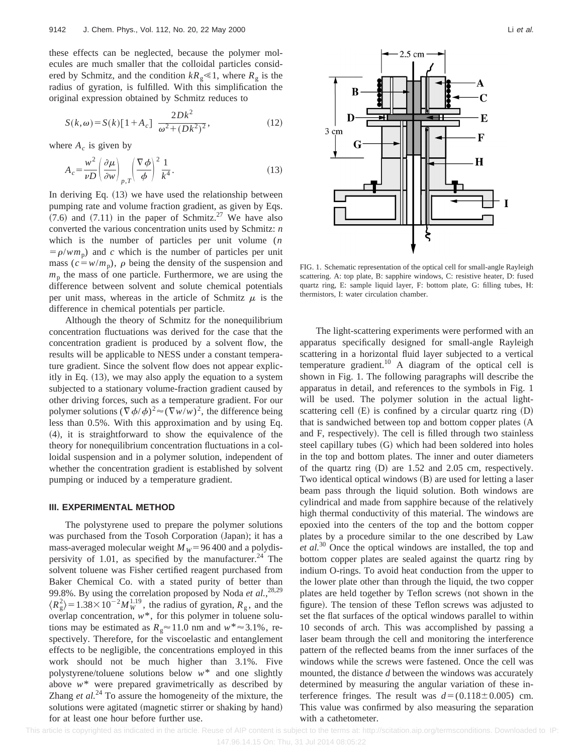these effects can be neglected, because the polymer molecules are much smaller that the colloidal particles considered by Schmitz, and the condition  $kR_g \le 1$ , where  $R_g$  is the radius of gyration, is fulfilled. With this simplification the original expression obtained by Schmitz reduces to

$$
S(k,\omega) = S(k)[1 + A_c] \frac{2Dk^2}{\omega^2 + (Dk^2)^2},
$$
\n(12)

where  $A_c$  is given by

$$
A_c = \frac{w^2}{vD} \left(\frac{\partial \mu}{\partial w}\right)_{p,T} \left(\frac{\nabla \phi}{\phi}\right)^2 \frac{1}{k^4}.
$$
 (13)

In deriving Eq.  $(13)$  we have used the relationship between pumping rate and volume fraction gradient, as given by Eqs.  $(7.6)$  and  $(7.11)$  in the paper of Schmitz.<sup>27</sup> We have also converted the various concentration units used by Schmitz: *n* which is the number of particles per unit volume (*n*  $= \rho/wm_p$ ) and *c* which is the number of particles per unit mass ( $c = w/m_p$ ),  $\rho$  being the density of the suspension and  $m<sub>p</sub>$  the mass of one particle. Furthermore, we are using the difference between solvent and solute chemical potentials per unit mass, whereas in the article of Schmitz  $\mu$  is the difference in chemical potentials per particle.

Although the theory of Schmitz for the nonequilibrium concentration fluctuations was derived for the case that the concentration gradient is produced by a solvent flow, the results will be applicable to NESS under a constant temperature gradient. Since the solvent flow does not appear explicitly in Eq.  $(13)$ , we may also apply the equation to a system subjected to a stationary volume-fraction gradient caused by other driving forces, such as a temperature gradient. For our polymer solutions  $(\nabla \phi/\phi)^2 \approx (\nabla w/w)^2$ , the difference being less than 0.5%. With this approximation and by using Eq.  $(4)$ , it is straightforward to show the equivalence of the theory for nonequilibrium concentration fluctuations in a colloidal suspension and in a polymer solution, independent of whether the concentration gradient is established by solvent pumping or induced by a temperature gradient.

#### **III. EXPERIMENTAL METHOD**

The polystyrene used to prepare the polymer solutions was purchased from the Tosoh Corporation (Japan); it has a mass-averaged molecular weight  $M_W$ =96 400 and a polydispersivity of 1.01, as specified by the manufacturer.<sup>24</sup> The solvent toluene was Fisher certified reagent purchased from Baker Chemical Co. with a stated purity of better than 99.8%. By using the correlation proposed by Noda *et al.*, 28,29  $\langle R_g^2 \rangle$  = 1.38 × 10<sup>-2</sup> $M_W^{1.19}$ , the radius of gyration,  $R_g$ , and the overlap concentration, *w*\*, for this polymer in toluene solutions may be estimated as  $R_g \approx 11.0$  nm and  $w^* \approx 3.1\%$ , respectively. Therefore, for the viscoelastic and entanglement effects to be negligible, the concentrations employed in this work should not be much higher than 3.1%. Five polystyrene/toluene solutions below *w*\* and one slightly above *w*\* were prepared gravimetrically as described by Zhang *et al.*<sup>24</sup> To assure the homogeneity of the mixture, the solutions were agitated (magnetic stirrer or shaking by hand) for at least one hour before further use.



FIG. 1. Schematic representation of the optical cell for small-angle Rayleigh scattering. A: top plate, B: sapphire windows, C: resistive heater, D: fused quartz ring, E: sample liquid layer, F: bottom plate, G: filling tubes, H: thermistors, I: water circulation chamber.

The light-scattering experiments were performed with an apparatus specifically designed for small-angle Rayleigh scattering in a horizontal fluid layer subjected to a vertical temperature gradient.<sup>10</sup> A diagram of the optical cell is shown in Fig. 1. The following paragraphs will describe the apparatus in detail, and references to the symbols in Fig. 1 will be used. The polymer solution in the actual lightscattering cell  $(E)$  is confined by a circular quartz ring  $(D)$ that is sandwiched between top and bottom copper plates (A and F, respectively). The cell is filled through two stainless steel capillary tubes  $(G)$  which had been soldered into holes in the top and bottom plates. The inner and outer diameters of the quartz ring  $(D)$  are 1.52 and 2.05 cm, respectively. Two identical optical windows  $(B)$  are used for letting a laser beam pass through the liquid solution. Both windows are cylindrical and made from sapphire because of the relatively high thermal conductivity of this material. The windows are epoxied into the centers of the top and the bottom copper plates by a procedure similar to the one described by Law *et al.*<sup>30</sup> Once the optical windows are installed, the top and bottom copper plates are sealed against the quartz ring by indium O-rings. To avoid heat conduction from the upper to the lower plate other than through the liquid, the two copper plates are held together by Teflon screws (not shown in the figure). The tension of these Teflon screws was adjusted to set the flat surfaces of the optical windows parallel to within 10 seconds of arch. This was accomplished by passing a laser beam through the cell and monitoring the interference pattern of the reflected beams from the inner surfaces of the windows while the screws were fastened. Once the cell was mounted, the distance *d* between the windows was accurately determined by measuring the angular variation of these interference fringes. The result was  $d = (0.118 \pm 0.005)$  cm. This value was confirmed by also measuring the separation with a cathetometer.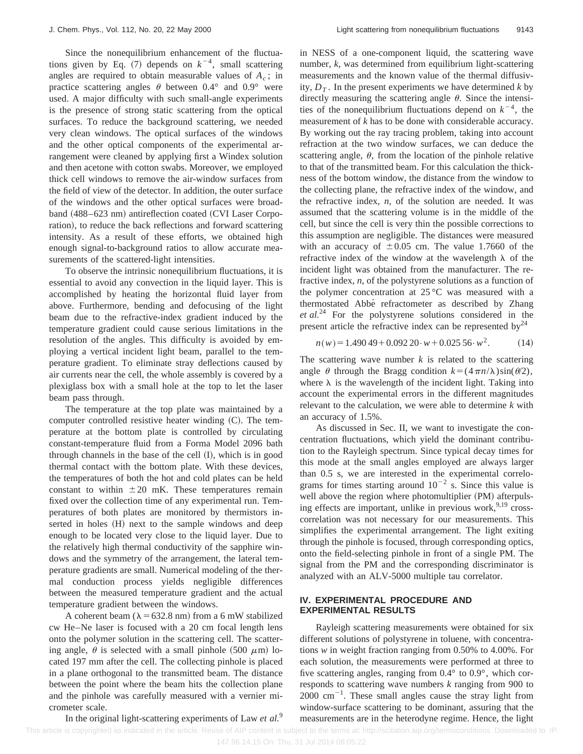Since the nonequilibrium enhancement of the fluctuations given by Eq.  $(7)$  depends on  $k^{-4}$ , small scattering angles are required to obtain measurable values of  $A_c$ ; in practice scattering angles  $\theta$  between 0.4° and 0.9° were used. A major difficulty with such small-angle experiments is the presence of strong static scattering from the optical surfaces. To reduce the background scattering, we needed very clean windows. The optical surfaces of the windows and the other optical components of the experimental arrangement were cleaned by applying first a Windex solution and then acetone with cotton swabs. Moreover, we employed thick cell windows to remove the air-window surfaces from the field of view of the detector. In addition, the outer surface of the windows and the other optical surfaces were broadband (488–623 nm) antireflection coated (CVI Laser Corporation), to reduce the back reflections and forward scattering intensity. As a result of these efforts, we obtained high enough signal-to-background ratios to allow accurate measurements of the scattered-light intensities.

To observe the intrinsic nonequilibrium fluctuations, it is essential to avoid any convection in the liquid layer. This is accomplished by heating the horizontal fluid layer from above. Furthermore, bending and defocusing of the light beam due to the refractive-index gradient induced by the temperature gradient could cause serious limitations in the resolution of the angles. This difficulty is avoided by employing a vertical incident light beam, parallel to the temperature gradient. To eliminate stray deflections caused by air currents near the cell, the whole assembly is covered by a plexiglass box with a small hole at the top to let the laser beam pass through.

The temperature at the top plate was maintained by a computer controlled resistive heater winding  $(C)$ . The temperature at the bottom plate is controlled by circulating constant-temperature fluid from a Forma Model 2096 bath through channels in the base of the cell  $(I)$ , which is in good thermal contact with the bottom plate. With these devices, the temperatures of both the hot and cold plates can be held constant to within  $\pm 20$  mK. These temperatures remain fixed over the collection time of any experimental run. Temperatures of both plates are monitored by thermistors inserted in holes (H) next to the sample windows and deep enough to be located very close to the liquid layer. Due to the relatively high thermal conductivity of the sapphire windows and the symmetry of the arrangement, the lateral temperature gradients are small. Numerical modeling of the thermal conduction process yields negligible differences between the measured temperature gradient and the actual temperature gradient between the windows.

A coherent beam ( $\lambda$  = 632.8 nm) from a 6 mW stabilized cw He–Ne laser is focused with a 20 cm focal length lens onto the polymer solution in the scattering cell. The scattering angle,  $\theta$  is selected with a small pinhole (500  $\mu$ m) located 197 mm after the cell. The collecting pinhole is placed in a plane orthogonal to the transmitted beam. The distance between the point where the beam hits the collection plane and the pinhole was carefully measured with a vernier micrometer scale.

in NESS of a one-component liquid, the scattering wave number, *k*, was determined from equilibrium light-scattering measurements and the known value of the thermal diffusivity,  $D<sub>T</sub>$ . In the present experiments we have determined *k* by directly measuring the scattering angle  $\theta$ . Since the intensities of the nonequilibrium fluctuations depend on  $k^{-4}$ , the measurement of *k* has to be done with considerable accuracy. By working out the ray tracing problem, taking into account refraction at the two window surfaces, we can deduce the scattering angle,  $\theta$ , from the location of the pinhole relative to that of the transmitted beam. For this calculation the thickness of the bottom window, the distance from the window to the collecting plane, the refractive index of the window, and the refractive index,  $n$ , of the solution are needed. It was assumed that the scattering volume is in the middle of the cell, but since the cell is very thin the possible corrections to this assumption are negligible. The distances were measured with an accuracy of  $\pm 0.05$  cm. The value 1.7660 of the refractive index of the window at the wavelength  $\lambda$  of the incident light was obtained from the manufacturer. The refractive index, *n*, of the polystyrene solutions as a function of the polymer concentration at 25 °C was measured with a thermostated Abbé refractometer as described by Zhang *et al.*<sup>24</sup> For the polystyrene solutions considered in the present article the refractive index can be represented by  $2^4$ 

$$
n(w) = 1.49049 + 0.09220 \cdot w + 0.02556 \cdot w^{2}.
$$
 (14)

The scattering wave number  $k$  is related to the scattering angle  $\theta$  through the Bragg condition  $k = (4 \pi n/\lambda) \sin(\theta/2)$ , where  $\lambda$  is the wavelength of the incident light. Taking into account the experimental errors in the different magnitudes relevant to the calculation, we were able to determine *k* with an accuracy of 1.5%.

As discussed in Sec. II, we want to investigate the concentration fluctuations, which yield the dominant contribution to the Rayleigh spectrum. Since typical decay times for this mode at the small angles employed are always larger than 0.5 s, we are interested in the experimental correlograms for times starting around  $10^{-2}$  s. Since this value is well above the region where photomultiplier (PM) afterpulsing effects are important, unlike in previous work,  $9.19$  crosscorrelation was not necessary for our measurements. This simplifies the experimental arrangement. The light exiting through the pinhole is focused, through corresponding optics, onto the field-selecting pinhole in front of a single PM. The signal from the PM and the corresponding discriminator is analyzed with an ALV-5000 multiple tau correlator.

#### **IV. EXPERIMENTAL PROCEDURE AND EXPERIMENTAL RESULTS**

Rayleigh scattering measurements were obtained for six different solutions of polystyrene in toluene, with concentrations *w* in weight fraction ranging from 0.50% to 4.00%. For each solution, the measurements were performed at three to five scattering angles, ranging from 0.4° to 0.9°, which corresponds to scattering wave numbers *k* ranging from 900 to  $2000 \text{ cm}^{-1}$ . These small angles cause the stray light from window-surface scattering to be dominant, assuring that the measurements are in the heterodyne regime. Hence, the light

In the original light-scattering experiments of Law *et al.*<sup>9</sup>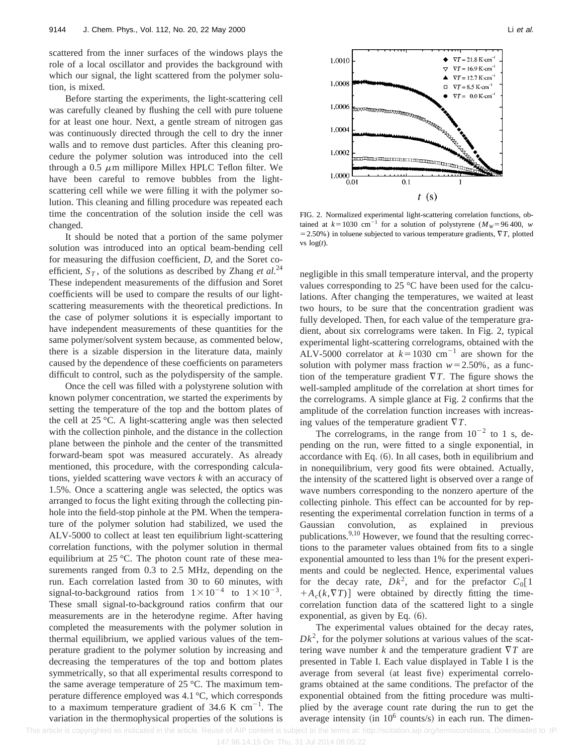scattered from the inner surfaces of the windows plays the role of a local oscillator and provides the background with which our signal, the light scattered from the polymer solution, is mixed.

Before starting the experiments, the light-scattering cell was carefully cleaned by flushing the cell with pure toluene for at least one hour. Next, a gentle stream of nitrogen gas was continuously directed through the cell to dry the inner walls and to remove dust particles. After this cleaning procedure the polymer solution was introduced into the cell through a 0.5  $\mu$ m millipore Millex HPLC Teflon filter. We have been careful to remove bubbles from the lightscattering cell while we were filling it with the polymer solution. This cleaning and filling procedure was repeated each time the concentration of the solution inside the cell was changed.

It should be noted that a portion of the same polymer solution was introduced into an optical beam-bending cell for measuring the diffusion coefficient, *D*, and the Soret coefficient,  $S_T$ , of the solutions as described by Zhang *et al.*<sup>24</sup> These independent measurements of the diffusion and Soret coefficients will be used to compare the results of our lightscattering measurements with the theoretical predictions. In the case of polymer solutions it is especially important to have independent measurements of these quantities for the same polymer/solvent system because, as commented below, there is a sizable dispersion in the literature data, mainly caused by the dependence of these coefficients on parameters difficult to control, such as the polydispersity of the sample.

Once the cell was filled with a polystyrene solution with known polymer concentration, we started the experiments by setting the temperature of the top and the bottom plates of the cell at 25 °C. A light-scattering angle was then selected with the collection pinhole, and the distance in the collection plane between the pinhole and the center of the transmitted forward-beam spot was measured accurately. As already mentioned, this procedure, with the corresponding calculations, yielded scattering wave vectors *k* with an accuracy of 1.5%. Once a scattering angle was selected, the optics was arranged to focus the light exiting through the collecting pinhole into the field-stop pinhole at the PM. When the temperature of the polymer solution had stabilized, we used the ALV-5000 to collect at least ten equilibrium light-scattering correlation functions, with the polymer solution in thermal equilibrium at 25 °C. The photon count rate of these measurements ranged from 0.3 to 2.5 MHz, depending on the run. Each correlation lasted from 30 to 60 minutes, with signal-to-background ratios from  $1 \times 10^{-4}$  to  $1 \times 10^{-3}$ . These small signal-to-background ratios confirm that our measurements are in the heterodyne regime. After having completed the measurements with the polymer solution in thermal equilibrium, we applied various values of the temperature gradient to the polymer solution by increasing and decreasing the temperatures of the top and bottom plates symmetrically, so that all experimental results correspond to the same average temperature of 25 °C. The maximum temperature difference employed was 4.1 °C, which corresponds to a maximum temperature gradient of 34.6 K cm<sup>-1</sup>. The variation in the thermophysical properties of the solutions is



FIG. 2. Normalized experimental light-scattering correlation functions, obtained at  $k=1030$  cm<sup>21</sup> for a solution of polystyrene ( $M_W=96\,400$ , *w*  $=$  2.50%) in toluene subjected to various temperature gradients,  $\nabla T$ , plotted vs  $log(t)$ .

negligible in this small temperature interval, and the property values corresponding to 25 °C have been used for the calculations. After changing the temperatures, we waited at least two hours, to be sure that the concentration gradient was fully developed. Then, for each value of the temperature gradient, about six correlograms were taken. In Fig. 2, typical experimental light-scattering correlograms, obtained with the ALV-5000 correlator at  $k=1030$  cm<sup>-1</sup> are shown for the solution with polymer mass fraction  $w=2.50\%$ , as a function of the temperature gradient  $\nabla T$ . The figure shows the well-sampled amplitude of the correlation at short times for the correlograms. A simple glance at Fig. 2 confirms that the amplitude of the correlation function increases with increasing values of the temperature gradient  $\nabla T$ .

The correlograms, in the range from  $10^{-2}$  to 1 s, depending on the run, were fitted to a single exponential, in accordance with Eq.  $(6)$ . In all cases, both in equilibrium and in nonequilibrium, very good fits were obtained. Actually, the intensity of the scattered light is observed over a range of wave numbers corresponding to the nonzero aperture of the collecting pinhole. This effect can be accounted for by representing the experimental correlation function in terms of a Gaussian convolution, as explained in previous publications. $9,10$  However, we found that the resulting corrections to the parameter values obtained from fits to a single exponential amounted to less than 1% for the present experiments and could be neglected. Hence, experimental values for the decay rate,  $Dk^2$ , and for the prefactor  $C_0[1]$  $+A_c(k,\nabla T)$  were obtained by directly fitting the timecorrelation function data of the scattered light to a single exponential, as given by Eq.  $(6)$ .

The experimental values obtained for the decay rates,  $Dk<sup>2</sup>$ , for the polymer solutions at various values of the scattering wave number  $k$  and the temperature gradient  $\nabla T$  are presented in Table I. Each value displayed in Table I is the average from several (at least five) experimental correlograms obtained at the same conditions. The prefactor of the exponential obtained from the fitting procedure was multiplied by the average count rate during the run to get the average intensity (in  $10^6$  counts/s) in each run. The dimen-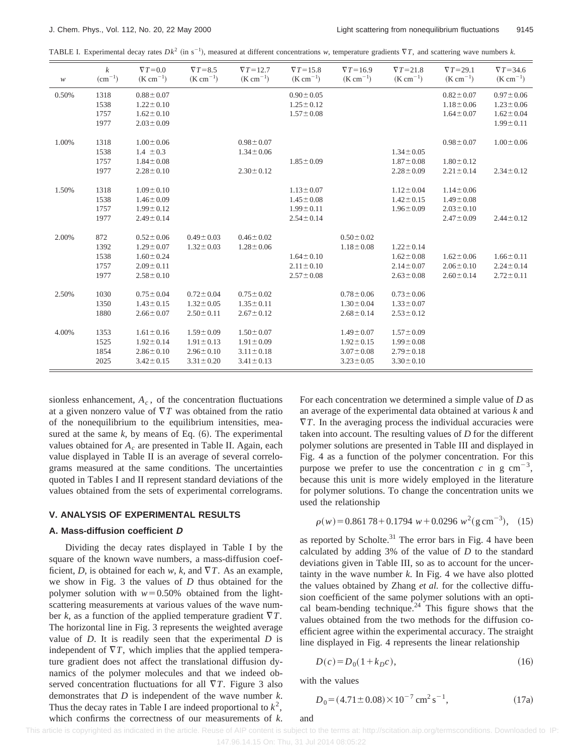TABLE I. Experimental decay rates  $Dk^2$  (in s<sup>-1</sup>), measured at different concentrations *w*, temperature gradients  $\nabla T$ , and scattering wave numbers *k*.

| $\boldsymbol{\mathcal{W}}$ | $\boldsymbol{k}$<br>$(cm^{-1})$ | $\nabla T = 0.0$<br>$(K cm^{-1})$ | $\nabla T = 8.5$<br>$(K cm^{-1})$ | $\nabla T = 12.7$<br>$(K cm^{-1})$ | $\nabla T = 15.8$<br>$(K cm^{-1})$ | $\nabla T = 16.9$<br>$(K cm^{-1})$ | $\nabla T = 21.8$<br>$(K cm^{-1})$ | $\nabla T = 29.1$<br>$(K cm^{-1})$ | $\nabla T = 34.6$<br>$(K cm^{-1})$ |
|----------------------------|---------------------------------|-----------------------------------|-----------------------------------|------------------------------------|------------------------------------|------------------------------------|------------------------------------|------------------------------------|------------------------------------|
| 0.50%                      | 1318                            | $0.88 \pm 0.07$                   |                                   |                                    | $0.90 \pm 0.05$                    |                                    |                                    | $0.82 \pm 0.07$                    | $0.97 \pm 0.06$                    |
|                            | 1538                            | $1.22 \pm 0.10$                   |                                   |                                    | $1.25 \pm 0.12$                    |                                    |                                    | $1.18 \pm 0.06$                    | $1.23 \pm 0.06$                    |
|                            | 1757                            | $1.62 \pm 0.10$                   |                                   |                                    | $1.57 \pm 0.08$                    |                                    |                                    | $1.64 \pm 0.07$                    | $1.62 \pm 0.04$                    |
|                            | 1977                            | $2.03 \pm 0.09$                   |                                   |                                    |                                    |                                    |                                    |                                    | $1.99 \pm 0.11$                    |
|                            |                                 |                                   |                                   |                                    |                                    |                                    |                                    |                                    |                                    |
| 1.00%                      | 1318                            | $1.00 \pm 0.06$                   |                                   | $0.98 \pm 0.07$                    |                                    |                                    |                                    | $0.98 \pm 0.07$                    | $1.00 \pm 0.06$                    |
|                            | 1538                            | $1.4 \pm 0.3$                     |                                   | $1.34 \pm 0.06$                    |                                    |                                    | $1.34 \pm 0.05$                    |                                    |                                    |
|                            | 1757                            | $1.84 \pm 0.08$                   |                                   |                                    | $1.85 \pm 0.09$                    |                                    | $1.87 \pm 0.08$                    | $1.80 \pm 0.12$                    |                                    |
|                            | 1977                            | $2.28 \pm 0.10$                   |                                   | $2.30 \pm 0.12$                    |                                    |                                    | $2.28 \pm 0.09$                    | $2.21 \pm 0.14$                    | $2.34 \pm 0.12$                    |
|                            |                                 |                                   |                                   |                                    |                                    |                                    |                                    |                                    |                                    |
| 1.50%                      | 1318                            | $1.09 \pm 0.10$                   |                                   |                                    | $1.13 \pm 0.07$                    |                                    | $1.12 \pm 0.04$                    | $1.14 \pm 0.06$                    |                                    |
|                            | 1538                            | $1.46 \pm 0.09$                   |                                   |                                    | $1.45 \pm 0.08$                    |                                    | $1.42 \pm 0.15$                    | $1.49 \pm 0.08$                    |                                    |
|                            | 1757                            | $1.99 \pm 0.12$                   |                                   |                                    | $1.99 \pm 0.11$                    |                                    | $1.96 \pm 0.09$                    | $2.03 \pm 0.10$                    |                                    |
|                            | 1977                            | $2.49 \pm 0.14$                   |                                   |                                    | $2.54 \pm 0.14$                    |                                    |                                    | $2.47 \pm 0.09$                    | $2.44 \pm 0.12$                    |
|                            |                                 |                                   |                                   |                                    |                                    |                                    |                                    |                                    |                                    |
| 2.00%                      | 872                             | $0.52 \pm 0.06$                   | $0.49 \pm 0.03$                   | $0.46 \pm 0.02$                    |                                    | $0.50 \pm 0.02$                    |                                    |                                    |                                    |
|                            | 1392                            | $1.29 \pm 0.07$                   | $1.32 \pm 0.03$                   | $1.28 \pm 0.06$                    |                                    | $1.18 \pm 0.08$                    | $1.22 \pm 0.14$                    |                                    |                                    |
|                            | 1538                            | $1.60 \pm 0.24$                   |                                   |                                    | $1.64 \pm 0.10$                    |                                    | $1.62 \pm 0.08$                    | $1.62 \pm 0.06$                    | $1.66 \pm 0.11$                    |
|                            | 1757                            | $2.09 \pm 0.11$                   |                                   |                                    | $2.11 \pm 0.10$                    |                                    | $2.14 \pm 0.07$                    | $2.06 \pm 0.10$                    | $2.24 \pm 0.14$                    |
|                            | 1977                            | $2.58 \pm 0.10$                   |                                   |                                    | $2.57 \pm 0.08$                    |                                    | $2.63 \pm 0.08$                    | $2.60 \pm 0.14$                    | $2.72 \pm 0.11$                    |
| 2.50%                      | 1030                            | $0.75 \pm 0.04$                   | $0.72 \pm 0.04$                   | $0.75 \pm 0.02$                    |                                    | $0.78 \pm 0.06$                    | $0.73 \pm 0.06$                    |                                    |                                    |
|                            | 1350                            | $1.43 \pm 0.15$                   | $1.32 \pm 0.05$                   | $1.35 \pm 0.11$                    |                                    | $1.30 \pm 0.04$                    | $1.33 \pm 0.07$                    |                                    |                                    |
|                            | 1880                            | $2.66 \pm 0.07$                   | $2.50 \pm 0.11$                   | $2.67 \pm 0.12$                    |                                    | $2.68 \pm 0.14$                    | $2.53 \pm 0.12$                    |                                    |                                    |
|                            |                                 |                                   |                                   |                                    |                                    |                                    |                                    |                                    |                                    |
| 4.00%                      | 1353                            | $1.61 \pm 0.16$                   | $1.59 \pm 0.09$                   | $1.50 \pm 0.07$                    |                                    | $1.49 \pm 0.07$                    | $1.57 \pm 0.09$                    |                                    |                                    |
|                            | 1525                            | $1.92 \pm 0.14$                   | $1.91 \pm 0.13$                   | $1.91 \pm 0.09$                    |                                    | $1.92 \pm 0.15$                    | $1.99 \pm 0.08$                    |                                    |                                    |
|                            | 1854                            | $2.86 \pm 0.10$                   | $2.96 \pm 0.10$                   | $3.11 \pm 0.18$                    |                                    | $3.07 \pm 0.08$                    | $2.79 \pm 0.18$                    |                                    |                                    |
|                            | 2025                            | $3.42 \pm 0.15$                   | $3.31 \pm 0.20$                   | $3.41 \pm 0.13$                    |                                    | $3.23 \pm 0.05$                    | $3.30 \pm 0.10$                    |                                    |                                    |
|                            |                                 |                                   |                                   |                                    |                                    |                                    |                                    |                                    |                                    |

sionless enhancement,  $A_c$ , of the concentration fluctuations at a given nonzero value of  $\nabla T$  was obtained from the ratio of the nonequilibrium to the equilibrium intensities, measured at the same  $k$ , by means of Eq.  $(6)$ . The experimental values obtained for *A<sub>c</sub>* are presented in Table II. Again, each value displayed in Table II is an average of several correlograms measured at the same conditions. The uncertainties quoted in Tables I and II represent standard deviations of the values obtained from the sets of experimental correlograms.

#### **V. ANALYSIS OF EXPERIMENTAL RESULTS**

#### **A. Mass-diffusion coefficient D**

Dividing the decay rates displayed in Table I by the square of the known wave numbers, a mass-diffusion coefficient, *D*, is obtained for each *w*, *k*, and  $\nabla T$ . As an example, we show in Fig. 3 the values of *D* thus obtained for the polymer solution with  $w=0.50\%$  obtained from the lightscattering measurements at various values of the wave number *k*, as a function of the applied temperature gradient  $\nabla T$ . The horizontal line in Fig. 3 represents the weighted average value of *D*. It is readily seen that the experimental *D* is independent of  $\nabla T$ , which implies that the applied temperature gradient does not affect the translational diffusion dynamics of the polymer molecules and that we indeed observed concentration fluctuations for all  $\nabla T$ . Figure 3 also demonstrates that *D* is independent of the wave number *k*. Thus the decay rates in Table I are indeed proportional to  $k^2$ , which confirms the correctness of our measurements of *k*. For each concentration we determined a simple value of *D* as an average of the experimental data obtained at various *k* and  $\nabla T$ . In the averaging process the individual accuracies were taken into account. The resulting values of *D* for the different polymer solutions are presented in Table III and displayed in Fig. 4 as a function of the polymer concentration. For this purpose we prefer to use the concentration  $c$  in g cm<sup>-3</sup>, because this unit is more widely employed in the literature for polymer solutions. To change the concentration units we used the relationship

$$
\rho(w) = 0.861\,78 + 0.1794\ w + 0.0296\ w^2(\text{g cm}^{-3}),\tag{15}
$$

as reported by Scholte. $31$  The error bars in Fig. 4 have been calculated by adding 3% of the value of *D* to the standard deviations given in Table III, so as to account for the uncertainty in the wave number *k*. In Fig. 4 we have also plotted the values obtained by Zhang *et al.* for the collective diffusion coefficient of the same polymer solutions with an optical beam-bending technique.<sup>24</sup> This figure shows that the values obtained from the two methods for the diffusion coefficient agree within the experimental accuracy. The straight line displayed in Fig. 4 represents the linear relationship

$$
D(c) = D_0(1 + k_D c),
$$
\n(16)

with the values

$$
D_0 = (4.71 \pm 0.08) \times 10^{-7} \text{ cm}^2 \text{ s}^{-1},\tag{17a}
$$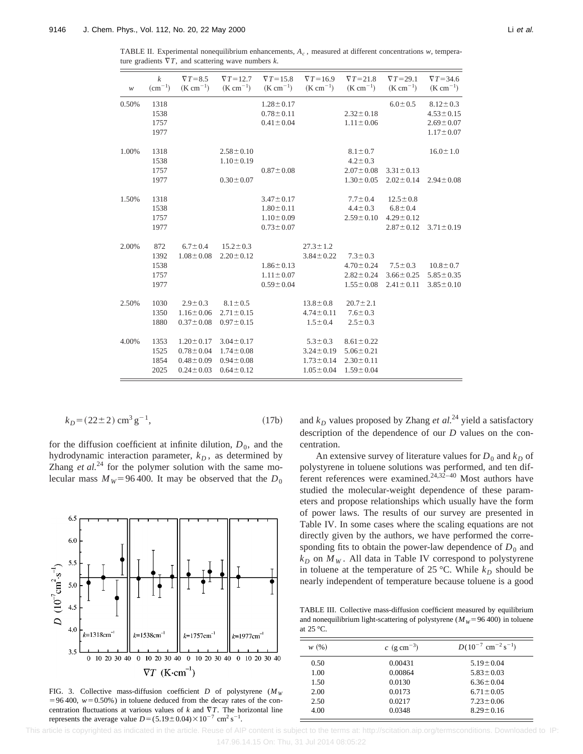TABLE II. Experimental nonequilibrium enhancements, *Ac* , measured at different concentrations *w*, temperature gradients  $\nabla T$ , and scattering wave numbers  $k$ .

| $\ensuremath{\mathcal{W}}$ | $\boldsymbol{k}$<br>$(cm^{-1})$     | $\nabla T = 8.5$<br>$(K cm^{-1})$                                        | $\nabla T = 12.7$<br>$(K cm^{-1})$                                       | $\nabla T = 15.8$<br>$(K cm^{-1})$                                       | $\nabla T = 16.9$<br>$(K cm^{-1})$                                     | $\nabla T = 21.8$<br>$(K cm^{-1})$                                       | $\nabla T = 29.1$<br>$(K cm^{-1})$                                    | $\nabla T = 34.6$<br>$(K cm^{-1})$                                      |
|----------------------------|-------------------------------------|--------------------------------------------------------------------------|--------------------------------------------------------------------------|--------------------------------------------------------------------------|------------------------------------------------------------------------|--------------------------------------------------------------------------|-----------------------------------------------------------------------|-------------------------------------------------------------------------|
| 0.50%                      | 1318<br>1538<br>1757<br>1977        |                                                                          |                                                                          | $1.28 \pm 0.17$<br>$0.78 \pm 0.11$<br>$0.41 \pm 0.04$                    |                                                                        | $2.32 \pm 0.18$<br>$1.11 \pm 0.06$                                       | $6.0 \pm 0.5$                                                         | $8.12 \pm 0.3$<br>$4.53 \pm 0.15$<br>$2.69 \pm 0.07$<br>$1.17 \pm 0.07$ |
| 1.00%                      | 1318<br>1538<br>1757<br>1977        |                                                                          | $2.58 \pm 0.10$<br>$1.10 \pm 0.19$<br>$0.30 \pm 0.07$                    | $0.87 \pm 0.08$                                                          |                                                                        | $8.1 \pm 0.7$<br>$4.2 \pm 0.3$<br>$2.07 \pm 0.08$<br>$1.30 \pm 0.05$     | $3.31 \pm 0.13$<br>$2.02 \pm 0.14$                                    | $16.0 \pm 1.0$<br>$2.94 \pm 0.08$                                       |
| 1.50%                      | 1318<br>1538<br>1757<br>1977        |                                                                          |                                                                          | $3.47 \pm 0.17$<br>$1.80 \pm 0.11$<br>$1.10 \pm 0.09$<br>$0.73 \pm 0.07$ |                                                                        | $7.7 \pm 0.4$<br>$4.4 \pm 0.3$<br>$2.59 \pm 0.10$                        | $12.5 \pm 0.8$<br>$6.8 \pm 0.4$<br>$4.29 \pm 0.12$<br>$2.87 \pm 0.12$ | $3.71 \pm 0.19$                                                         |
| 2.00%                      | 872<br>1392<br>1538<br>1757<br>1977 | $6.7 \pm 0.4$<br>$1.08 \pm 0.08$                                         | $15.2 \pm 0.3$<br>$2.20 \pm 0.12$                                        | $1.86 \pm 0.13$<br>$1.11 \pm 0.07$<br>$0.59 \pm 0.04$                    | $27.3 \pm 1.2$<br>$3.84 \pm 0.22$                                      | $7.3 \pm 0.3$<br>$4.70 \pm 0.24$<br>$2.82 \pm 0.24$<br>$1.55 \pm 0.08$   | $7.5 \pm 0.3$<br>$3.66 \pm 0.25$<br>$2.41 \pm 0.11$                   | $10.8 \pm 0.7$<br>$5.85 \pm 0.35$<br>$3.85 \pm 0.10$                    |
| 2.50%                      | 1030<br>1350<br>1880                | $2.9 \pm 0.3$<br>$1.16 \pm 0.06$<br>$0.37 \pm 0.08$                      | $8.1 \pm 0.5$<br>$2.71 \pm 0.15$<br>$0.97 \pm 0.15$                      |                                                                          | $13.8 \pm 0.8$<br>$4.74 \pm 0.11$<br>$1.5 \pm 0.4$                     | $20.7 \pm 2.1$<br>$7.6 \pm 0.3$<br>$2.5 \pm 0.3$                         |                                                                       |                                                                         |
| 4.00%                      | 1353<br>1525<br>1854<br>2025        | $1.20 \pm 0.17$<br>$0.78 \pm 0.04$<br>$0.48 \pm 0.09$<br>$0.24 \pm 0.03$ | $3.04 \pm 0.17$<br>$1.74 \pm 0.08$<br>$0.94 \pm 0.08$<br>$0.64 \pm 0.12$ |                                                                          | $5.3 \pm 0.3$<br>$3.24 \pm 0.19$<br>$1.73 \pm 0.14$<br>$1.05 \pm 0.04$ | $8.61 \pm 0.22$<br>$5.06 \pm 0.21$<br>$2.30 \pm 0.11$<br>$1.59 \pm 0.04$ |                                                                       |                                                                         |

$$
k_D = (22 \pm 2) \text{ cm}^3 \text{ g}^{-1},\tag{17b}
$$

for the diffusion coefficient at infinite dilution,  $D_0$ , and the hydrodynamic interaction parameter,  $k_D$ , as determined by Zhang *et al.*<sup>24</sup> for the polymer solution with the same molecular mass  $M_W$ =96400. It may be observed that the  $D_0$ 



FIG. 3. Collective mass-diffusion coefficient *D* of polystyrene ( $M_W$  $=96400$ ,  $w=0.50\%$ ) in toluene deduced from the decay rates of the concentration fluctuations at various values of  $k$  and  $\nabla T$ . The horizontal line represents the average value  $D = (5.19 \pm 0.04) \times 10^{-7}$  cm<sup>2</sup> s<sup>-1</sup>.

and  $k_D$  values proposed by Zhang *et al.*<sup>24</sup> yield a satisfactory description of the dependence of our *D* values on the concentration.

An extensive survey of literature values for  $D_0$  and  $k_D$  of polystyrene in toluene solutions was performed, and ten different references were examined.<sup>24,32-40</sup> Most authors have studied the molecular-weight dependence of these parameters and propose relationships which usually have the form of power laws. The results of our survey are presented in Table IV. In some cases where the scaling equations are not directly given by the authors, we have performed the corresponding fits to obtain the power-law dependence of  $D_0$  and  $k_D$  on  $M_W$ . All data in Table IV correspond to polystyrene in toluene at the temperature of 25 °C. While  $k_D$  should be nearly independent of temperature because toluene is a good

TABLE III. Collective mass-diffusion coefficient measured by equilibrium and nonequilibrium light-scattering of polystyrene ( $M_W$ =96 400) in toluene at 25 °C.

| W(%) | $c \,$ (g cm <sup>-3</sup> ) | $D(10^{-7}$ cm <sup>-2</sup> s <sup>-1</sup> ) |
|------|------------------------------|------------------------------------------------|
| 0.50 | 0.00431                      | $5.19 \pm 0.04$                                |
| 1.00 | 0.00864                      | $5.83 \pm 0.03$                                |
| 1.50 | 0.0130                       | $6.36 \pm 0.04$                                |
| 2.00 | 0.0173                       | $6.71 \pm 0.05$                                |
| 2.50 | 0.0217                       | $7.23 \pm 0.06$                                |
| 4.00 | 0.0348                       | $8.29 \pm 0.16$                                |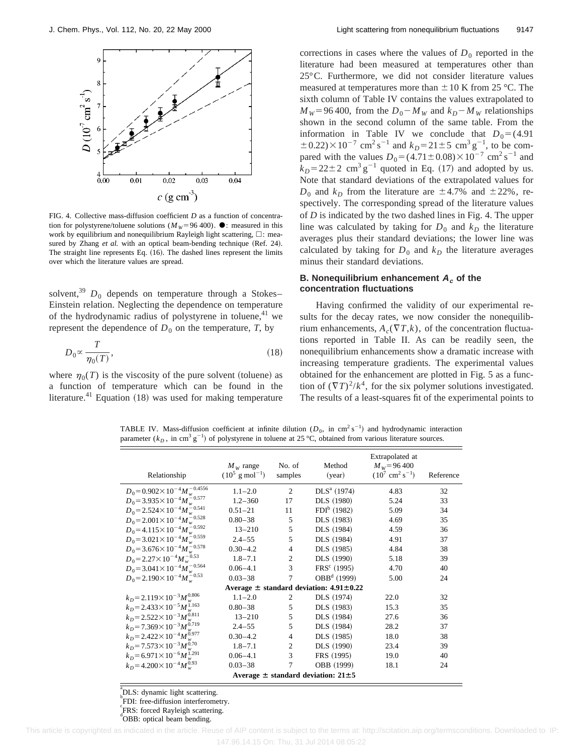

FIG. 4. Collective mass-diffusion coefficient *D* as a function of concentration for polystyrene/toluene solutions ( $M_W$ =96 400).  $\bullet$ : measured in this work by equilibrium and nonequilibrium Rayleigh light scattering,  $\Box$ : measured by Zhang *et al.* with an optical beam-bending technique (Ref. 24). The straight line represents Eq.  $(16)$ . The dashed lines represent the limits over which the literature values are spread.

solvent,<sup>39</sup>  $D_0$  depends on temperature through a Stokes– Einstein relation. Neglecting the dependence on temperature of the hydrodynamic radius of polystyrene in toluene,  $41$  we represent the dependence of  $D_0$  on the temperature,  $T$ , by

$$
D_0 \propto \frac{T}{\eta_0(T)},\tag{18}
$$

where  $\eta_0(T)$  is the viscosity of the pure solvent (toluene) as a function of temperature which can be found in the literature.<sup>41</sup> Equation  $(18)$  was used for making temperature corrections in cases where the values of  $D_0$  reported in the literature had been measured at temperatures other than 25°C. Furthermore, we did not consider literature values measured at temperatures more than  $\pm 10$  K from 25 °C. The sixth column of Table IV contains the values extrapolated to  $M_W$ =96 400, from the  $D_0$ <sup>-</sup> $M_W$  and  $k_D$ <sup>-</sup> $M_W$  relationships shown in the second column of the same table. From the information in Table IV we conclude that  $D_0 = (4.91)$  $\pm$  0.22) $\times$ 10<sup>-7</sup> cm<sup>2</sup> s<sup>-1</sup> and  $k_D$ =21±5 cm<sup>3</sup> g<sup>-1</sup>, to be compared with the values  $D_0 = (4.71 \pm 0.08) \times 10^{-7}$  cm<sup>2</sup> s<sup>-1</sup> and  $k_D$ =22 $\pm$ 2 cm<sup>3</sup> g<sup>-1</sup> quoted in Eq. (17) and adopted by us. Note that standard deviations of the extrapolated values for  $D_0$  and  $k_D$  from the literature are  $\pm$  4.7% and  $\pm$  22%, respectively. The corresponding spread of the literature values of *D* is indicated by the two dashed lines in Fig. 4. The upper line was calculated by taking for  $D_0$  and  $k_D$  the literature averages plus their standard deviations; the lower line was calculated by taking for  $D_0$  and  $k_D$  the literature averages minus their standard deviations.

#### **B. Nonequilibrium enhancement <sup>A</sup><sup>c</sup> of the concentration fluctuations**

Having confirmed the validity of our experimental results for the decay rates, we now consider the nonequilibrium enhancements,  $A_c(\nabla T, k)$ , of the concentration fluctuations reported in Table II. As can be readily seen, the nonequilibrium enhancements show a dramatic increase with increasing temperature gradients. The experimental values obtained for the enhancement are plotted in Fig. 5 as a function of  $(\nabla T)^2/k^4$ , for the six polymer solutions investigated. The results of a least-squares fit of the experimental points to

TABLE IV. Mass-diffusion coefficient at infinite dilution  $(D_0, \text{ in cm}^2 \text{ s}^{-1})$  and hydrodynamic interaction parameter  $(k_D, \text{ in cm}^3 \text{ g}^{-1})$  of polystyrene in toluene at 25 °C, obtained from various literature sources.

| Relationship                                                 | $M_{W}$ range<br>$(10^5 \text{ g mol}^{-1})$ | No. of<br>samples | Method<br>(year) | Extrapolated at<br>$M_w = 96,400$<br>$(10^7 \text{ cm}^2 \text{ s}^{-1})$ | Reference |
|--------------------------------------------------------------|----------------------------------------------|-------------------|------------------|---------------------------------------------------------------------------|-----------|
| $D_0 = 0.902 \times 10^{-4} M_w^{-0.4556}$                   | $1.1 - 2.0$                                  | 2                 | $DLS^a(1974)$    | 4.83                                                                      | 32        |
| $D_0 = 3.935 \times 10^{-4} M_w^{-.0.577}$                   | $1.2 - 360$                                  | 17                | DLS (1980)       | 5.24                                                                      | 33        |
| $D_0 = 2.524 \times 10^{-4} M_w^{20.541}$                    | $0.51 - 21$                                  | 11                | $FDI^b$ (1982)   | 5.09                                                                      | 34        |
| $D_0 = 2.001 \times 10^{-4} M_w^{-0.528}$                    | $0.80 - 38$                                  | 5                 | DLS (1983)       | 4.69                                                                      | 35        |
| $D_0 = 4.115 \times 10^{-4} M_w^{40.592}$                    | $13 - 210$                                   | 5                 | DLS (1984)       | 4.59                                                                      | 36        |
| $D_0 = 3.021 \times 10^{-4} M_{\odot}^{-0.559}$              | $2.4 - 55$                                   | 5                 | DLS (1984)       | 4.91                                                                      | 37        |
| $D_0 = 3.676 \times 10^{-4} M_w^{-0.578}$                    | $0.30 - 4.2$                                 | $\overline{4}$    | DLS (1985)       | 4.84                                                                      | 38        |
| $D_0 = 2.27 \times 10^{-4} M_w^{-0.53}$                      | $1.8 - 7.1$                                  | $\overline{c}$    | DLS (1990)       | 5.18                                                                      | 39        |
| $D_0 = 3.041 \times 10^{-4} M_w^{-0.564}$                    | $0.06 - 4.1$                                 | 3                 | $FRS^c$ (1995)   | 4.70                                                                      | 40        |
| $D_0 = 2.190 \times 10^{-4} M_w^{-0.53}$                     | $0.03 - 38$                                  | 7                 | $OBBd$ (1999)    | 5.00                                                                      | 24        |
| Average $\pm$ standard deviation: 4.91 $\pm$ 0.22            |                                              |                   |                  |                                                                           |           |
| $k_D = 2.119 \times 10^{-3} M_w^{0.806}$                     | $1.1 - 2.0$                                  | 2                 | DLS (1974)       | 22.0                                                                      | 32        |
| $k_D = 2.433 \times 10^{-5} M_w^{1.163}$                     | $0.80 - 38$                                  | 5                 | DLS (1983)       | 15.3                                                                      | 35        |
| $k_D = 2.522 \times 10^{-3} M_w^{0.811}$                     | $13 - 210$                                   | 5                 | DLS (1984)       | 27.6                                                                      | 36        |
| $k_D$ = 7.369 $\times$ 10 <sup>-3</sup> $M_{\cdots}^{0.719}$ | $2.4 - 55$                                   | 5                 | DLS (1984)       | 28.2                                                                      | 37        |
| $k_D = 2.422 \times 10^{-4} M_{\odot}^{0.977}$               | $0.30 - 4.2$                                 | $\overline{4}$    | DLS (1985)       | 18.0                                                                      | 38        |
| $k_D = 7.573 \times 10^{-3} M_{\dots}^{0.70}$                | $1.8 - 7.1$                                  | 2                 | DLS (1990)       | 23.4                                                                      | 39        |
| $k_D = 6.971 \times 10^{-6} M_{\odot}^{1.291}$               | $0.06 - 4.1$                                 | 3                 | FRS (1995)       | 19.0                                                                      | 40        |
| $k_D = 4.200 \times 10^{-4} M_w^{0.93}$                      | $0.03 - 38$                                  | 7                 | OBB (1999)       | 18.1                                                                      | 24        |
| Average $\pm$ standard deviation: 21 $\pm$ 5                 |                                              |                   |                  |                                                                           |           |

a DLS: dynamic light scattering.

**FDI:** free-diffusion interferometry.

e<br>FRS: forced Rayleigh scattering.

d<br>
OBB: optical beam bending.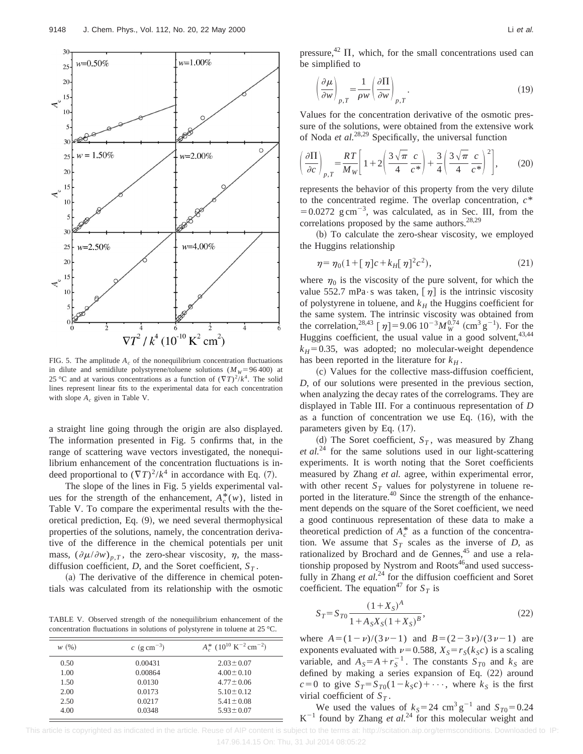

FIG. 5. The amplitude  $A_c$  of the nonequilibrium concentration fluctuations in dilute and semidilute polystyrene/toluene solutions  $(M_W=96\,400)$  at 25 °C and at various concentrations as a function of  $(\nabla T)^2/k^4$ . The solid lines represent linear fits to the experimental data for each concentration with slope  $A_c$  given in Table V.

a straight line going through the origin are also displayed. The information presented in Fig. 5 confirms that, in the range of scattering wave vectors investigated, the nonequilibrium enhancement of the concentration fluctuations is indeed proportional to  $(\nabla T)^2/k^4$  in accordance with Eq. (7).

The slope of the lines in Fig. 5 yields experimental values for the strength of the enhancement,  $A_c^*(w)$ , listed in Table V. To compare the experimental results with the theoretical prediction, Eq.  $(9)$ , we need several thermophysical properties of the solutions, namely, the concentration derivative of the difference in the chemical potentials per unit mass,  $(\partial \mu/\partial w)_{p,T}$ , the zero-shear viscosity,  $\eta$ , the massdiffusion coefficient, *D*, and the Soret coefficient,  $S_T$ .

 $(a)$  The derivative of the difference in chemical potentials was calculated from its relationship with the osmotic

TABLE V. Observed strength of the nonequilibrium enhancement of the concentration fluctuations in solutions of polystyrene in toluene at 25 °C.

| W(%) | $c \,$ (g cm <sup>-3</sup> ) | $A_c^*$ (10 <sup>10</sup> K <sup>-2</sup> cm <sup>-2</sup> ) |
|------|------------------------------|--------------------------------------------------------------|
| 0.50 | 0.00431                      | $2.03 \pm 0.07$                                              |
| 1.00 | 0.00864                      | $4.00 \pm 0.10$                                              |
| 1.50 | 0.0130                       | $4.77 \pm 0.06$                                              |
| 2.00 | 0.0173                       | $5.10 \pm 0.12$                                              |
| 2.50 | 0.0217                       | $5.41 \pm 0.08$                                              |
| 4.00 | 0.0348                       | $5.93 \pm 0.07$                                              |
|      |                              |                                                              |

pressure,<sup>42</sup>  $\Pi$ , which, for the small concentrations used can be simplified to

$$
\left(\frac{\partial \mu}{\partial w}\right)_{p,T} = \frac{1}{\rho w} \left(\frac{\partial \Pi}{\partial w}\right)_{p,T}.
$$
\n(19)

Values for the concentration derivative of the osmotic pressure of the solutions, were obtained from the extensive work of Noda *et al.*28,29 Specifically, the universal function

$$
\left(\frac{\partial \Pi}{\partial c}\right)_{p,T} = \frac{RT}{M_W} \left[1 + 2\left(\frac{3\sqrt{\pi}}{4} \frac{c}{c^*}\right) + \frac{3}{4}\left(\frac{3\sqrt{\pi}}{4} \frac{c}{c^*}\right)^2\right],\tag{20}
$$

represents the behavior of this property from the very dilute to the concentrated regime. The overlap concentration, *c*\*  $=0.0272$  g cm<sup>-3</sup>, was calculated, as in Sec. III, from the correlations proposed by the same authors.<sup>28,29</sup>

(b) To calculate the zero-shear viscosity, we employed the Huggins relationship

$$
\eta = \eta_0 (1 + [\eta]c + k_H [\eta]^2 c^2), \tag{21}
$$

where  $\eta_0$  is the viscosity of the pure solvent, for which the value 552.7 mPa·s was taken,  $[\eta]$  is the intrinsic viscosity of polystyrene in toluene, and  $k_H$  the Huggins coefficient for the same system. The intrinsic viscosity was obtained from the correlation,<sup>28,43</sup> [ $\eta$ ] = 9.06 10<sup>-3</sup>*M*<sup>0.74</sup> (cm<sup>3</sup> g<sup>-1</sup>). For the Huggins coefficient, the usual value in a good solvent, <sup>43,44</sup>  $k_H$ =0.35, was adopted; no molecular-weight dependence has been reported in the literature for  $k_H$ .

~c! Values for the collective mass-diffusion coefficient, *D*, of our solutions were presented in the previous section, when analyzing the decay rates of the correlograms. They are displayed in Table III. For a continuous representation of *D* as a function of concentration we use Eq.  $(16)$ , with the parameters given by Eq.  $(17)$ .

(d) The Soret coefficient,  $S_T$ , was measured by Zhang *et al.*<sup>24</sup> for the same solutions used in our light-scattering experiments. It is worth noting that the Soret coefficients measured by Zhang *et al.* agree, within experimental error, with other recent  $S_T$  values for polystyrene in toluene reported in the literature.<sup>40</sup> Since the strength of the enhancement depends on the square of the Soret coefficient, we need a good continuous representation of these data to make a theoretical prediction of  $A_c^*$  as a function of the concentration. We assume that  $S_T$  scales as the inverse of *D*, as rationalized by Brochard and de Gennes,<sup>45</sup> and use a relationship proposed by Nystrom and Roots<sup>46</sup>and used successfully in Zhang *et al.*<sup>24</sup> for the diffusion coefficient and Soret coefficient. The equation<sup>47</sup> for  $S_T$  is

$$
S_T = S_{T0} \frac{(1+X_S)^A}{1 + A_S X_S (1+X_S)^B},
$$
\n(22)

where  $A=(1-\nu)/(3\nu-1)$  and  $B=(2-3\nu)/(3\nu-1)$  are exponents evaluated with  $\nu=0.588$ ,  $X_S = r_S(k_Sc)$  is a scaling variable, and  $A_S = A + r_S^{-1}$ . The constants  $S_{T0}$  and  $k_S$  are defined by making a series expansion of Eq.  $(22)$  around  $c=0$  to give  $S_T = S_{T0}(1-k_Sc) + \cdots$ , where  $k_S$  is the first virial coefficient of  $S_T$ .

We used the values of  $k_S = 24 \text{ cm}^3 \text{ g}^{-1}$  and  $S_{T0} = 0.24$  $K^{-1}$  found by Zhang *et al.*<sup>24</sup> for this molecular weight and

This article is copyrighted as indicated in the article. Reuse of AIP content is subject to the terms at: http://scitation.aip.org/termsconditions. Downloaded to IP: 147.96.14.15 On: Thu, 31 Jul 2014 08:05:22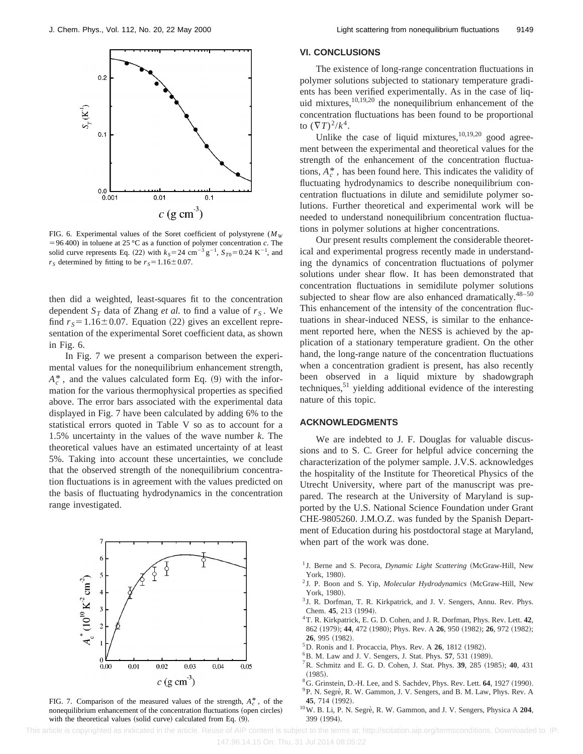

FIG. 6. Experimental values of the Soret coefficient of polystyrene ( $M_W$ ) =96 400) in toluene at 25 °C as a function of polymer concentration *c*. The solid curve represents Eq. (22) with  $k_S = 24$  cm<sup>-3</sup> g<sup>-1</sup>,  $S_{T0} = 0.24$  K<sup>-1</sup>, and  $r<sub>S</sub>$  determined by fitting to be  $r<sub>S</sub>=1.16\pm0.07$ .

then did a weighted, least-squares fit to the concentration dependent  $S_T$  data of Zhang *et al.* to find a value of  $r_S$ . We find  $r_s = 1.16 \pm 0.07$ . Equation (22) gives an excellent representation of the experimental Soret coefficient data, as shown in Fig. 6.

In Fig. 7 we present a comparison between the experimental values for the nonequilibrium enhancement strength,  $A_c^*$ , and the values calculated form Eq. (9) with the information for the various thermophysical properties as specified above. The error bars associated with the experimental data displayed in Fig. 7 have been calculated by adding 6% to the statistical errors quoted in Table V so as to account for a 1.5% uncertainty in the values of the wave number *k*. The theoretical values have an estimated uncertainty of at least 5%. Taking into account these uncertainties, we conclude that the observed strength of the nonequilibrium concentration fluctuations is in agreement with the values predicted on the basis of fluctuating hydrodynamics in the concentration range investigated.



FIG. 7. Comparison of the measured values of the strength,  $A_c^*$ , of the nonequilibrium enhancement of the concentration fluctuations (open circles) with the theoretical values (solid curve) calculated from Eq.  $(9)$ .

#### **VI. CONCLUSIONS**

The existence of long-range concentration fluctuations in polymer solutions subjected to stationary temperature gradients has been verified experimentally. As in the case of liquid mixtures,10,19,20 the nonequilibrium enhancement of the concentration fluctuations has been found to be proportional to  $({\nabla} T)^2/k^4$ .

Unlike the case of liquid mixtures, $10,19,20$  good agreement between the experimental and theoretical values for the strength of the enhancement of the concentration fluctuations,  $A_c^*$ , has been found here. This indicates the validity of fluctuating hydrodynamics to describe nonequilibrium concentration fluctuations in dilute and semidilute polymer solutions. Further theoretical and experimental work will be needed to understand nonequilibrium concentration fluctuations in polymer solutions at higher concentrations.

Our present results complement the considerable theoretical and experimental progress recently made in understanding the dynamics of concentration fluctuations of polymer solutions under shear flow. It has been demonstrated that concentration fluctuations in semidilute polymer solutions subjected to shear flow are also enhanced dramatically. $48-50$ This enhancement of the intensity of the concentration fluctuations in shear-induced NESS, is similar to the enhancement reported here, when the NESS is achieved by the application of a stationary temperature gradient. On the other hand, the long-range nature of the concentration fluctuations when a concentration gradient is present, has also recently been observed in a liquid mixture by shadowgraph techniques,<sup>51</sup> yielding additional evidence of the interesting nature of this topic.

#### **ACKNOWLEDGMENTS**

We are indebted to J. F. Douglas for valuable discussions and to S. C. Greer for helpful advice concerning the characterization of the polymer sample. J.V.S. acknowledges the hospitality of the Institute for Theoretical Physics of the Utrecht University, where part of the manuscript was prepared. The research at the University of Maryland is supported by the U.S. National Science Foundation under Grant CHE-9805260. J.M.O.Z. was funded by the Spanish Department of Education during his postdoctoral stage at Maryland, when part of the work was done.

- <sup>1</sup> J. Berne and S. Pecora, *Dynamic Light Scattering* (McGraw-Hill, New York, 1980).
- <sup>2</sup> J. P. Boon and S. Yip, *Molecular Hydrodynamics* (McGraw-Hill, New York, 1980).
- <sup>3</sup> J. R. Dorfman, T. R. Kirkpatrick, and J. V. Sengers, Annu. Rev. Phys. Chem. 45, 213 (1994).
- 4T. R. Kirkpatrick, E. G. D. Cohen, and J. R. Dorfman, Phys. Rev. Lett. **42**, 862 (1979); 44, 472 (1980); Phys. Rev. A 26, 950 (1982); 26, 972 (1982); **26.** 995 (1982).
- <sup>5</sup>D. Ronis and I. Procaccia, Phys. Rev. A **26**, 1812 (1982).
- <sup>6</sup>B. M. Law and J. V. Sengers, J. Stat. Phys. **57**, 531 (1989).
- <sup>7</sup>R. Schmitz and E. G. D. Cohen, J. Stat. Phys. **39**, 285 (1985); **40**, 431  $(1985).$
- <sup>8</sup>G. Grinstein, D.-H. Lee, and S. Sachdev, Phys. Rev. Lett. **64**, 1927 (1990).
- <sup>9</sup>P. N. Segrè, R. W. Gammon, J. V. Sengers, and B. M. Law, Phys. Rev. A 45, 714 (1992).
- 10W. B. Li, P. N. Segre`, R. W. Gammon, and J. V. Sengers, Physica A **204**, 399 (1994).

This article is copyrighted as indicated in the article. Reuse of AIP content is subject to the terms at: http://scitation.aip.org/termsconditions. Downloaded to IP: